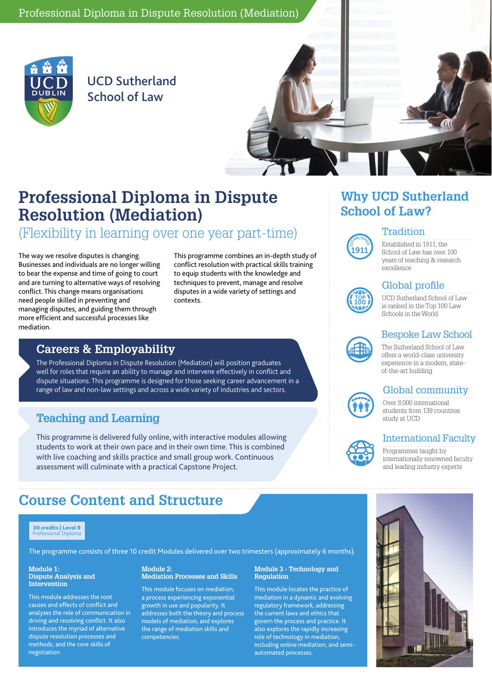

UCD Sutherland School of Law



# **Professional Diploma in Dispute Resolution (Mediation)**

## (Flexibility in learning over one year part-time)

The way we resolve disputes is changing. Businesses and individuals are no longer willing to bear the expense and time of going to court and are turning to alternative ways of resolving conflict. This change means organisations need people skilled in preventing and managing disputes, and guiding them through more efficient and successful processes like mediation.

This programme combines an in-depth study of conflict resolution with practical skills training to equip students with the knowledge and techniques to prevent, manage and resolve disputes in a wide variety of settings and **contexts** 

### **Careers & Employability**

The Professional Diploma in Dispute Resolution (Mediation) will position graduates well for roles that require an ability to manage and intervene effectively in conflict and dispute situations. This programme is designed for those seeking career advancement in a range of law and non-law settings and across a wide variety of industries and sectors.

### **Teaching and Learning**

This programme is delivered fully online, with interactive modules allowing students to work at their own pace and in their own time. This is combined with live coaching and skills practice and small group work. Continuous assessment will culminate with a practical Capstone Project.

## **Course Content and Structure**

#### 30 credits | Level 9 Professional Diploma

The programme consists of three 10 credit Modules delivered over two trimesters (approximately 6 months).

#### **Module 1: Dispute Analysis and Intervention**

This module addresses the root causes and effects of conflict and analyses the role of communication in driving and resolving conflict. It also introduces the myriad of alternative dispute resolution processes and methods, and the core skills of negotiation.

#### **Module 2: Mediation Processes and Skills**

This module focuses on mediation, a process experiencing exponential growth in use and popularity. It addresses both the theory and process models of mediation, and explores the range of mediation skills and competencies.

#### **Module 3 - Technology and Regulation**

This module locates the practice of mediation in a dynamic and evolving regulatory framework, addressing the current laws and ethics that govern the process and practice. It also explores the rapidly increasing role of technology in mediation, including online mediation, and semiautomated processes.

## **Why UCD Sutherland School of Law?**

#### **Tradition**



Established in 1911, the School of Law has over 100 years of teaching & research excellence

### Global profile



ESTABLISHED أأأكأأ

UCD Sutherland School of Law is ranked in the Top 100 Law Schools in the World

#### Bespoke Law School

The Sutherland School of Law offers a world-class university experience in a modern, stateof-the-art building

### Global community



ESTABLISHE<sup>D</sup> <u>1964</u>

Over 8,000 international students from 139 countries study at UCD

### International Faculty

Programmes taught by internationally renowned faculty and leading industry experts